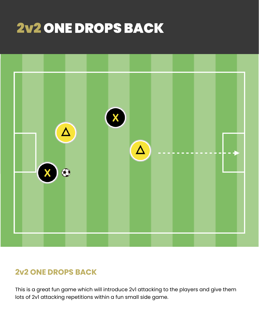# 2v2 ONE DROPS BACK



# **2v2 ONE DROPS BACK**

This is a great fun game which will introduce 2v1 attacking to the players and give them lots of 2v1 attacking repetitions within a fun small side game.